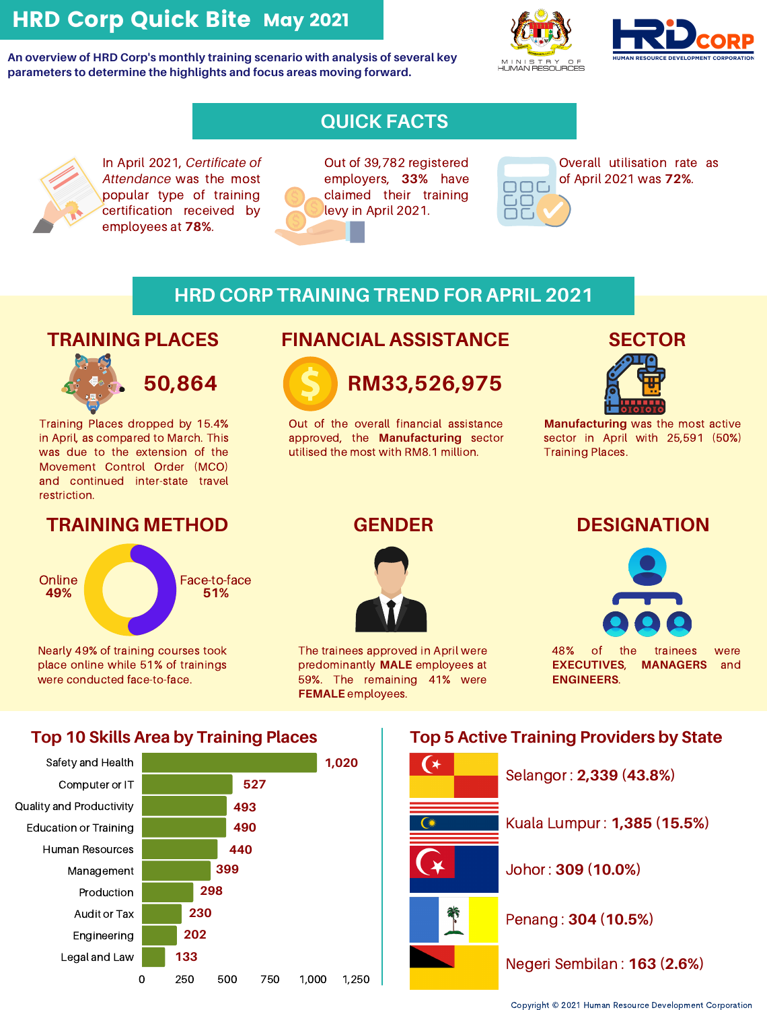# HRD Corp Quick Bite May 2021

**An overview of HRD Corp's monthly training scenario with analysis of several key parameters to determine the highlights and focus areas moving forward.**





## **QUICK FACTS**

In April 2021, *Certificate of Attendance* was the most popular type of training certification received by employees at **78%**.



Out of 39,782 registered employers, **33%** have claimed their training levy in April 2021.



Overall utilisation rate as of April 2021 was **72%**.

### **HRD CORP TRAINING TREND FOR APRIL 2021**

## **TRAINING PLACES**



**50,864**

Training Places dropped by 15.4% in April, as compared to March. This was due to the extension of the Movement Control Order (MCO) and continued inter-state travel restriction.

### **TRAINING METHOD GENDER DESIGNATION**

Face-to-face **51% Online 49%**

Nearly 49% of training courses took place online while 51% of trainings were conducted face-to-face.

## **FINANCIAL ASSISTANCE**



Out of the overall financial assistance approved, the **Manufacturing** sector utilised the most with RM8.1 million.

## **SECTOR**



**Manufacturing** was the most active sector in April with 25,591 (50%) Training Places.



The trainees approved in April were predominantly **MALE** employees at 59%. The remaining 41% were **FEMALE** employees.



48% of the trainees were **EXECUTIVES**, **MANAGERS** and **ENGINEERS**.

### **Top 10 Skills Area by Training Places**



### **Top 5 Active Training Providers by State**